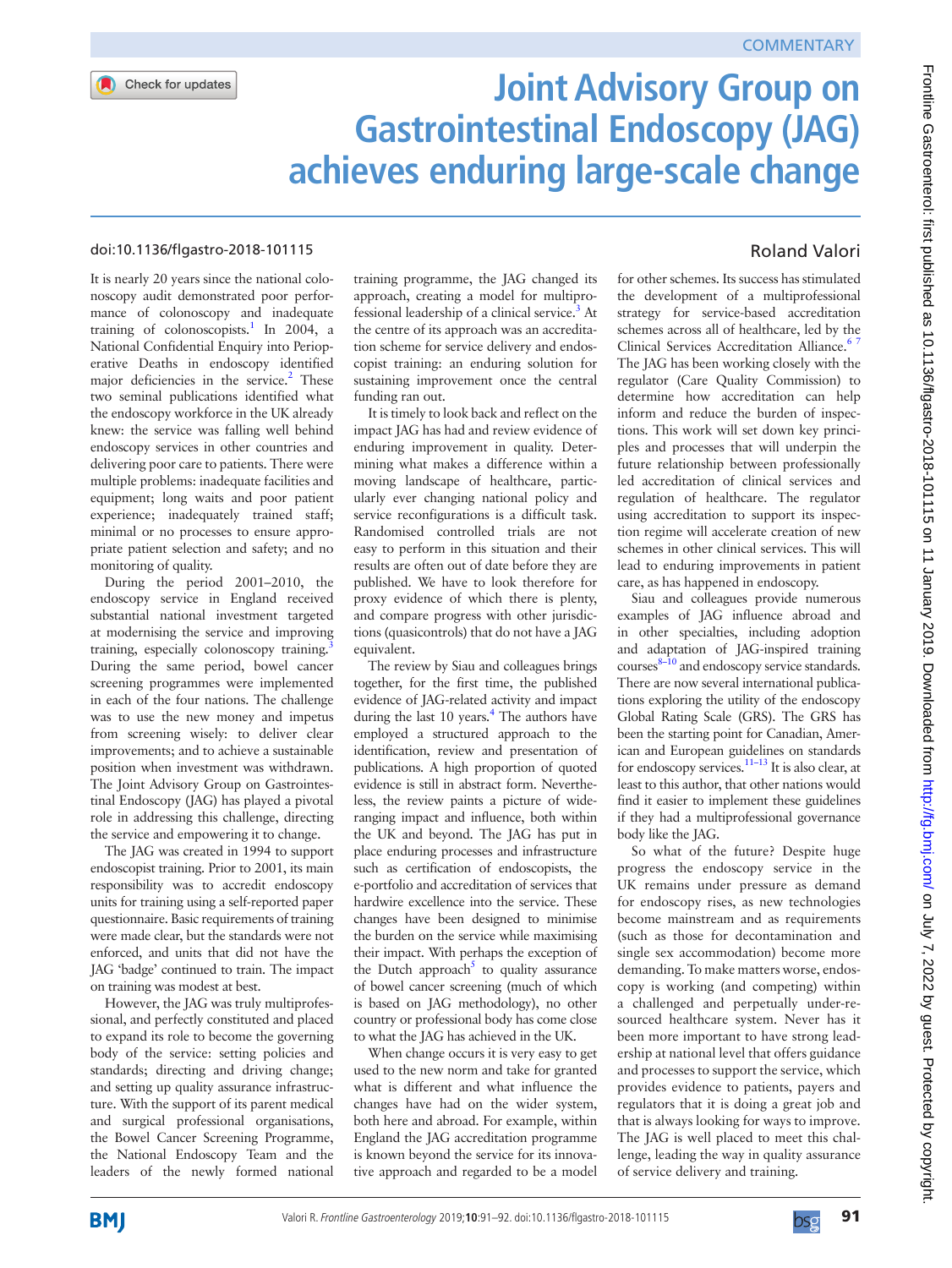

# **Joint Advisory Group on Gastrointestinal Endoscopy (JAG) achieves enduring large-scale change**

### doi:10.1136/flgastro-2018-101115

It is nearly 20 years since the national colonoscopy audit demonstrated poor performance of colonoscopy and inadequate training of colonoscopists.<sup>1</sup> In 2004, a National Confidential Enquiry into Perioperative Deaths in endoscopy identified major deficiencies in the service.<sup>2</sup> These two seminal publications identified what the endoscopy workforce in the UK already knew: the service was falling well behind endoscopy services in other countries and delivering poor care to patients. There were multiple problems: inadequate facilities and equipment; long waits and poor patient experience; inadequately trained staff; minimal or no processes to ensure appropriate patient selection and safety; and no monitoring of quality.

During the period 2001–2010, the endoscopy service in England received substantial national investment targeted at modernising the service and improving training, especially colonoscopy training. During the same period, bowel cancer screening programmes were implemented in each of the four nations. The challenge was to use the new money and impetus from screening wisely: to deliver clear improvements; and to achieve a sustainable position when investment was withdrawn. The Joint Advisory Group on Gastrointestinal Endoscopy (JAG) has played a pivotal role in addressing this challenge, directing the service and empowering it to change.

The JAG was created in 1994 to support endoscopist training. Prior to 2001, its main responsibility was to accredit endoscopy units for training using a self-reported paper questionnaire. Basic requirements of training were made clear, but the standards were not enforced, and units that did not have the JAG 'badge' continued to train. The impact on training was modest at best.

However, the JAG was truly multiprofessional, and perfectly constituted and placed to expand its role to become the governing body of the service: setting policies and standards; directing and driving change; and setting up quality assurance infrastructure. With the support of its parent medical and surgical professional organisations, the Bowel Cancer Screening Programme, the National Endoscopy Team and the leaders of the newly formed national

training programme, the JAG changed its approach, creating a model for multiprofessional leadership of a clinical service.<sup>3</sup> At the centre of its approach was an accreditation scheme for service delivery and endoscopist training: an enduring solution for sustaining improvement once the central funding ran out.

It is timely to look back and reflect on the impact JAG has had and review evidence of enduring improvement in quality. Determining what makes a difference within a moving landscape of healthcare, particularly ever changing national policy and service reconfigurations is a difficult task. Randomised controlled trials are not easy to perform in this situation and their results are often out of date before they are published. We have to look therefore for proxy evidence of which there is plenty, and compare progress with other jurisdictions (quasicontrols) that do not have a JAG equivalent.

The review by Siau and colleagues brings together, for the first time, the published evidence of JAG-related activity and impact during the last 10 years.<sup>[4](#page-1-3)</sup> The authors have employed a structured approach to the identification, review and presentation of publications. A high proportion of quoted evidence is still in abstract form. Nevertheless, the review paints a picture of wideranging impact and influence, both within the UK and beyond. The JAG has put in place enduring processes and infrastructure such as certification of endoscopists, the e-portfolio and accreditation of services that hardwire excellence into the service. These changes have been designed to minimise the burden on the service while maximising their impact. With perhaps the exception of the Dutch approach<sup>[5](#page-1-4)</sup> to quality assurance of bowel cancer screening (much of which is based on JAG methodology), no other country or professional body has come close to what the JAG has achieved in the UK.

When change occurs it is very easy to get used to the new norm and take for granted what is different and what influence the changes have had on the wider system, both here and abroad. For example, within England the JAG accreditation programme is known beyond the service for its innovative approach and regarded to be a model

# Roland Valori

for other schemes. Its success has stimulated the development of a multiprofessional strategy for service-based accreditation schemes across all of healthcare, led by the Clinical Services Accreditation Alliance.<sup>67</sup> The JAG has been working closely with the regulator (Care Quality Commission) to determine how accreditation can help inform and reduce the burden of inspections. This work will set down key principles and processes that will underpin the future relationship between professionally led accreditation of clinical services and regulation of healthcare. The regulator using accreditation to support its inspection regime will accelerate creation of new schemes in other clinical services. This will lead to enduring improvements in patient care, as has happened in endoscopy.

Siau and colleagues provide numerous examples of JAG influence abroad and in other specialties, including adoption and adaptation of JAG-inspired training courses $8-10$  and endoscopy service standards. There are now several international publications exploring the utility of the endoscopy Global Rating Scale (GRS). The GRS has been the starting point for Canadian, American and European guidelines on standards for endoscopy services. $11-13$  It is also clear, at least to this author, that other nations would find it easier to implement these guidelines if they had a multiprofessional governance body like the JAG.

So what of the future? Despite huge progress the endoscopy service in the UK remains under pressure as demand for endoscopy rises, as new technologies become mainstream and as requirements (such as those for decontamination and single sex accommodation) become more demanding. To make matters worse, endoscopy is working (and competing) within a challenged and perpetually under-resourced healthcare system. Never has it been more important to have strong leadership at national level that offers guidance and processes to support the service, which provides evidence to patients, payers and regulators that it is doing a great job and that is always looking for ways to improve. The JAG is well placed to meet this challenge, leading the way in quality assurance of service delivery and training.